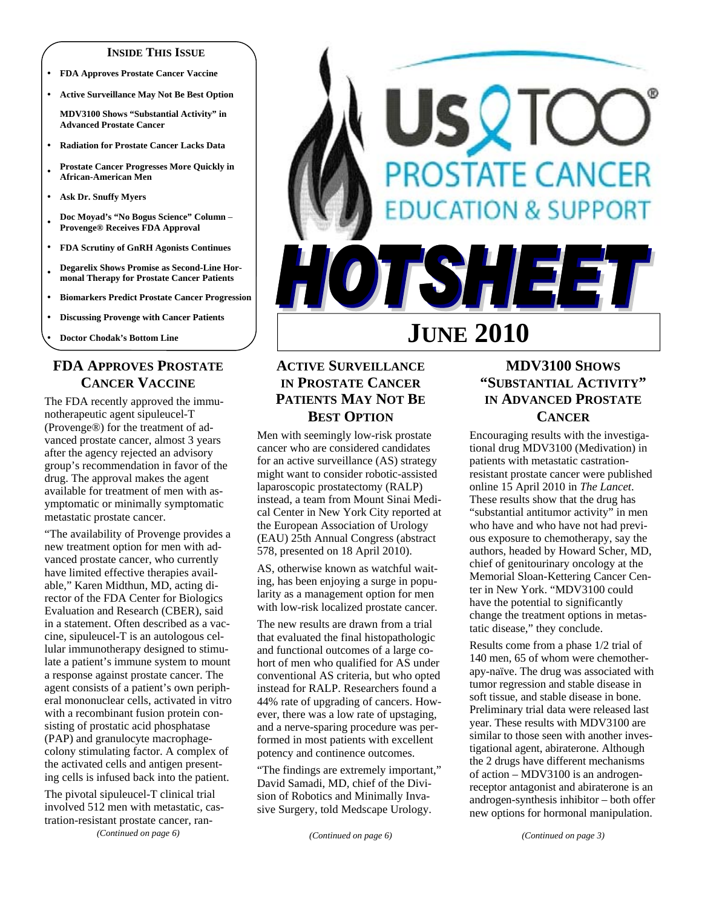#### **INSIDE THIS ISSUE**

- y **FDA Approves Prostate Cancer Vaccine**
- y **Active Surveillance May Not Be Best Option**

**MDV3100 Shows "Substantial Activity" in Advanced Prostate Cancer** 

- y **Radiation for Prostate Cancer Lacks Data**
- <sup>y</sup>**Prostate Cancer Progresses More Quickly in African-American Men**
- Ask Dr. Snuffy Myers
- <sup>y</sup>**Doc Moyad's "No Bogus Science" Column Provenge® Receives FDA Approval**
- y **FDA Scrutiny of GnRH Agonists Continues**
- **Degarelix Shows Promise as Second-Line Hormonal Therapy for Prostate Cancer Patients**
- **Biomarkers Predict Prostate Cancer Progression**
- **Discussing Provenge with Cancer Patients**

**Doctor Chodak's Bottom Line** 

# **FDA APPROVES PROSTATE CANCER VACCINE**

The FDA recently approved the immunotherapeutic agent sipuleucel-T (Provenge®) for the treatment of advanced prostate cancer, almost 3 years after the agency rejected an advisory group's recommendation in favor of the drug. The approval makes the agent available for treatment of men with asymptomatic or minimally symptomatic metastatic prostate cancer.

"The availability of Provenge provides a new treatment option for men with advanced prostate cancer, who currently have limited effective therapies available," Karen Midthun, MD, acting director of the FDA Center for Biologics Evaluation and Research (CBER), said in a statement. Often described as a vaccine, sipuleucel-T is an autologous cellular immunotherapy designed to stimulate a patient's immune system to mount a response against prostate cancer. The agent consists of a patient's own peripheral mononuclear cells, activated in vitro with a recombinant fusion protein consisting of prostatic acid phosphatase (PAP) and granulocyte macrophagecolony stimulating factor. A complex of the activated cells and antigen presenting cells is infused back into the patient.

The pivotal sipuleucel-T clinical trial involved 512 men with metastatic, castration-resistant prostate cancer, ran- *(Continued on page 6)* 



## **ACTIVE SURVEILLANCE IN PROSTATE CANCER PATIENTS MAY NOT BE BEST OPTION**

Men with seemingly low-risk prostate cancer who are considered candidates for an active surveillance (AS) strategy might want to consider robotic-assisted laparoscopic prostatectomy (RALP) instead, a team from Mount Sinai Medical Center in New York City reported at the European Association of Urology (EAU) 25th Annual Congress (abstract 578, presented on 18 April 2010).

AS, otherwise known as watchful waiting, has been enjoying a surge in popularity as a management option for men with low-risk localized prostate cancer.

The new results are drawn from a trial that evaluated the final histopathologic and functional outcomes of a large cohort of men who qualified for AS under conventional AS criteria, but who opted instead for RALP. Researchers found a 44% rate of upgrading of cancers. However, there was a low rate of upstaging, and a nerve-sparing procedure was performed in most patients with excellent potency and continence outcomes.

"The findings are extremely important," David Samadi, MD, chief of the Division of Robotics and Minimally Invasive Surgery, told Medscape Urology.

# **MDV3100 SHOWS "SUBSTANTIAL ACTIVITY" IN ADVANCED PROSTATE CANCER**

Encouraging results with the investigational drug MDV3100 (Medivation) in patients with metastatic castrationresistant prostate cancer were published online 15 April 2010 in *The Lancet*. These results show that the drug has "substantial antitumor activity" in men who have and who have not had previous exposure to chemotherapy, say the authors, headed by Howard Scher, MD, chief of genitourinary oncology at the Memorial Sloan-Kettering Cancer Center in New York. "MDV3100 could have the potential to significantly change the treatment options in metastatic disease," they conclude.

Results come from a phase 1/2 trial of 140 men, 65 of whom were chemotherapy-naïve. The drug was associated with tumor regression and stable disease in soft tissue, and stable disease in bone. Preliminary trial data were released last year. These results with MDV3100 are similar to those seen with another investigational agent, abiraterone. Although the 2 drugs have different mechanisms of action – MDV3100 is an androgenreceptor antagonist and abiraterone is an androgen-synthesis inhibitor – both offer new options for hormonal manipulation.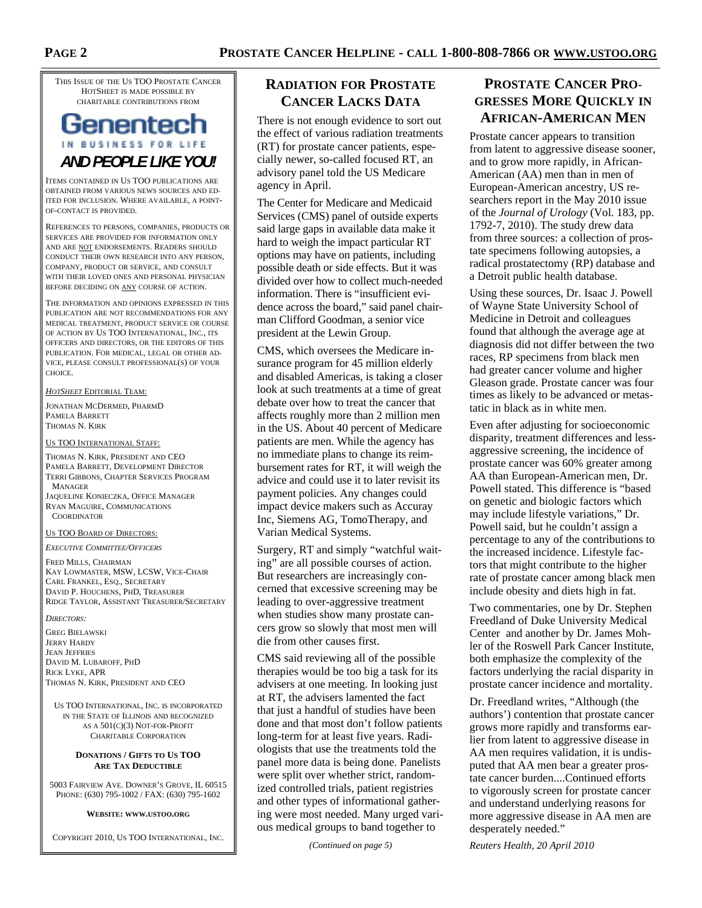THIS ISSUE OF THE US TOO PROSTATE CANCER HOTSHEET IS MADE POSSIBLE BY CHARITABLE CONTRIBUTIONS FROM

# Genentech IN BUSINESS FOR LIFE *AND PEOPLE LIKE YOU!*

ITEMS CONTAINED IN US TOO PUBLICATIONS ARE OBTAINED FROM VARIOUS NEWS SOURCES AND ED-ITED FOR INCLUSION. WHERE AVAILABLE, A POINT-OF-CONTACT IS PROVIDED.

REFERENCES TO PERSONS, COMPANIES, PRODUCTS OR SERVICES ARE PROVIDED FOR INFORMATION ONLY AND ARE NOT ENDORSEMENTS. READERS SHOULD CONDUCT THEIR OWN RESEARCH INTO ANY PERSON, COMPANY, PRODUCT OR SERVICE, AND CONSULT WITH THEIR LOVED ONES AND PERSONAL PHYSICIAN BEFORE DECIDING ON ANY COURSE OF ACTION.

THE INFORMATION AND OPINIONS EXPRESSED IN THIS PUBLICATION ARE NOT RECOMMENDATIONS FOR ANY MEDICAL TREATMENT, PRODUCT SERVICE OR COURSE OF ACTION BY US TOO INTERNATIONAL, INC., ITS OFFICERS AND DIRECTORS, OR THE EDITORS OF THIS PUBLICATION. FOR MEDICAL, LEGAL OR OTHER AD-VICE, PLEASE CONSULT PROFESSIONAL(S) OF YOUR CHOICE.

*HOTSHEET* EDITORIAL TEAM:

JONATHAN MCDERMED, PHARMD PAMELA BARRETT THOMAS N. KIRK

#### US TOO INTERNATIONAL STAFF:

THOMAS N. KIRK, PRESIDENT AND CEO PAMELA BARRETT, DEVELOPMENT DIRECTOR TERRI GIBBONS, CHAPTER SERVICES PROGRAM MANAGER JAQUELINE KONIECZKA, OFFICE MANAGER RYAN MAGUIRE, COMMUNICATIONS **COORDINATOR** 

#### US TOO BOARD OF DIRECTORS:

*EXECUTIVE COMMITTEE/OFFICERS*

FRED MILLS, CHAIRMAN KAY LOWMASTER, MSW, LCSW, VICE-CHAIR CARL FRANKEL, ESQ., SECRETARY DAVID P. HOUCHENS, PHD, TREASURER RIDGE TAYLOR, ASSISTANT TREASURER/SECRETARY

*DIRECTORS:* 

GREG BIELAWSKI JERRY HARDY JEAN JEFFRIES DAVID M. LUBAROFF, PHD RICK LYKE, APR THOMAS N. KIRK, PRESIDENT AND CEO

US TOO INTERNATIONAL, INC. IS INCORPORATED IN THE STATE OF ILLINOIS AND RECOGNIZED AS A 501(C)(3) NOT-FOR-PROFIT CHARITABLE CORPORATION

#### **DONATIONS / GIFTS TO US TOO ARE TAX DEDUCTIBLE**

5003 FAIRVIEW AVE. DOWNER'S GROVE, IL 60515 PHONE: (630) 795-1002 / FAX: (630) 795-1602

**WEBSITE: WWW.USTOO.ORG**

COPYRIGHT 2010, US TOO INTERNATIONAL, INC.

## **RADIATION FOR PROSTATE CANCER LACKS DATA**

There is not enough evidence to sort out the effect of various radiation treatments (RT) for prostate cancer patients, especially newer, so-called focused RT, an advisory panel told the US Medicare agency in April.

The Center for Medicare and Medicaid Services (CMS) panel of outside experts said large gaps in available data make it hard to weigh the impact particular RT options may have on patients, including possible death or side effects. But it was divided over how to collect much-needed information. There is "insufficient evidence across the board," said panel chairman Clifford Goodman, a senior vice president at the Lewin Group.

CMS, which oversees the Medicare insurance program for 45 million elderly and disabled Americas, is taking a closer look at such treatments at a time of great debate over how to treat the cancer that affects roughly more than 2 million men in the US. About 40 percent of Medicare patients are men. While the agency has no immediate plans to change its reimbursement rates for RT, it will weigh the advice and could use it to later revisit its payment policies. Any changes could impact device makers such as Accuray Inc, Siemens AG, TomoTherapy, and Varian Medical Systems.

Surgery, RT and simply "watchful waiting" are all possible courses of action. But researchers are increasingly concerned that excessive screening may be leading to over-aggressive treatment when studies show many prostate cancers grow so slowly that most men will die from other causes first.

CMS said reviewing all of the possible therapies would be too big a task for its advisers at one meeting. In looking just at RT, the advisers lamented the fact that just a handful of studies have been done and that most don't follow patients long-term for at least five years. Radiologists that use the treatments told the panel more data is being done. Panelists were split over whether strict, randomized controlled trials, patient registries and other types of informational gathering were most needed. Many urged various medical groups to band together to

*(Continued on page 5)* 

# **PROSTATE CANCER PRO-GRESSES MORE QUICKLY IN AFRICAN-AMERICAN MEN**

Prostate cancer appears to transition from latent to aggressive disease sooner, and to grow more rapidly, in African-American (AA) men than in men of European-American ancestry, US researchers report in the May 2010 issue of the *Journal of Urology* (Vol. 183, pp. 1792-7, 2010). The study drew data from three sources: a collection of prostate specimens following autopsies, a radical prostatectomy (RP) database and a Detroit public health database.

Using these sources, Dr. Isaac J. Powell of Wayne State University School of Medicine in Detroit and colleagues found that although the average age at diagnosis did not differ between the two races, RP specimens from black men had greater cancer volume and higher Gleason grade. Prostate cancer was four times as likely to be advanced or metastatic in black as in white men.

Even after adjusting for socioeconomic disparity, treatment differences and lessaggressive screening, the incidence of prostate cancer was 60% greater among AA than European-American men, Dr. Powell stated. This difference is "based on genetic and biologic factors which may include lifestyle variations," Dr. Powell said, but he couldn't assign a percentage to any of the contributions to the increased incidence. Lifestyle factors that might contribute to the higher rate of prostate cancer among black men include obesity and diets high in fat.

Two commentaries, one by Dr. Stephen Freedland of Duke University Medical Center and another by Dr. James Mohler of the Roswell Park Cancer Institute, both emphasize the complexity of the factors underlying the racial disparity in prostate cancer incidence and mortality.

Dr. Freedland writes, "Although (the authors') contention that prostate cancer grows more rapidly and transforms earlier from latent to aggressive disease in AA men requires validation, it is undisputed that AA men bear a greater prostate cancer burden....Continued efforts to vigorously screen for prostate cancer and understand underlying reasons for more aggressive disease in AA men are desperately needed."

*Reuters Health, 20 April 2010*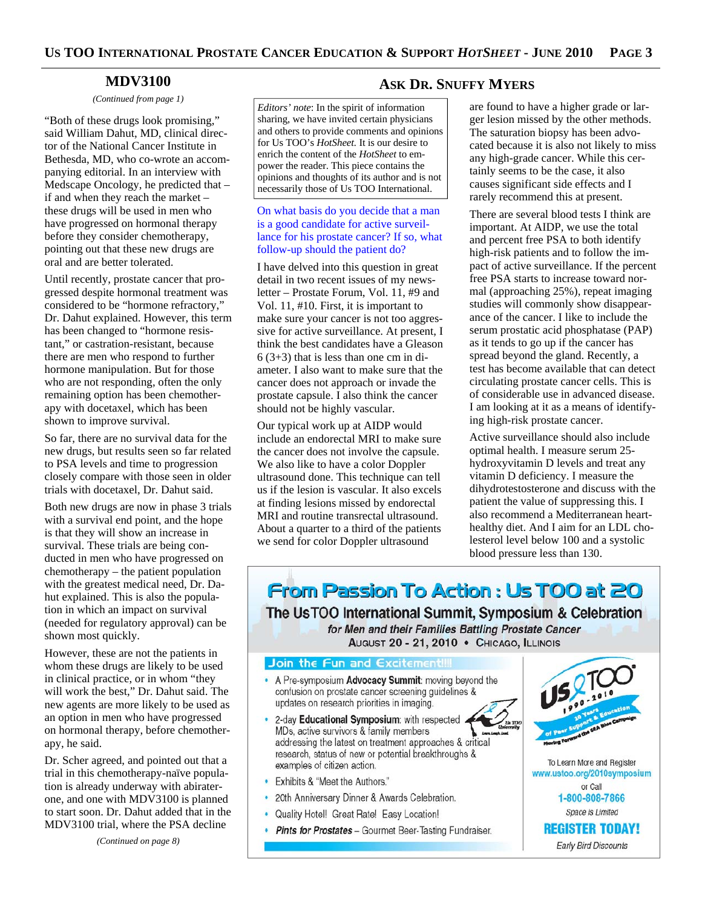#### **MDV3100**

*(Continued from page 1)* 

"Both of these drugs look promising," said William Dahut, MD, clinical director of the National Cancer Institute in Bethesda, MD, who co-wrote an accompanying editorial. In an interview with Medscape Oncology, he predicted that – if and when they reach the market – these drugs will be used in men who have progressed on hormonal therapy before they consider chemotherapy, pointing out that these new drugs are oral and are better tolerated.

Until recently, prostate cancer that progressed despite hormonal treatment was considered to be "hormone refractory," Dr. Dahut explained. However, this term has been changed to "hormone resistant," or castration-resistant, because there are men who respond to further hormone manipulation. But for those who are not responding, often the only remaining option has been chemotherapy with docetaxel, which has been shown to improve survival.

So far, there are no survival data for the new drugs, but results seen so far related to PSA levels and time to progression closely compare with those seen in older trials with docetaxel, Dr. Dahut said.

Both new drugs are now in phase 3 trials with a survival end point, and the hope is that they will show an increase in survival. These trials are being conducted in men who have progressed on chemotherapy – the patient population with the greatest medical need, Dr. Dahut explained. This is also the population in which an impact on survival (needed for regulatory approval) can be shown most quickly.

However, these are not the patients in whom these drugs are likely to be used in clinical practice, or in whom "they will work the best," Dr. Dahut said. The new agents are more likely to be used as an option in men who have progressed on hormonal therapy, before chemotherapy, he said.

Dr. Scher agreed, and pointed out that a trial in this chemotherapy-naïve population is already underway with abiraterone, and one with MDV3100 is planned to start soon. Dr. Dahut added that in the MDV3100 trial, where the PSA decline

*(Continued on page 8)* 

*Editors' note*: In the spirit of information sharing, we have invited certain physicians and others to provide comments and opinions for Us TOO's *HotSheet.* It is our desire to enrich the content of the *HotSheet* to empower the reader. This piece contains the opinions and thoughts of its author and is not necessarily those of Us TOO International.

#### On what basis do you decide that a man is a good candidate for active surveillance for his prostate cancer? If so, what follow-up should the patient do?

I have delved into this question in great detail in two recent issues of my newsletter – Prostate Forum, Vol. 11, #9 and Vol. 11, #10. First, it is important to make sure your cancer is not too aggressive for active surveillance. At present, I think the best candidates have a Gleason  $6(3+3)$  that is less than one cm in diameter. I also want to make sure that the cancer does not approach or invade the prostate capsule. I also think the cancer should not be highly vascular.

Our typical work up at AIDP would include an endorectal MRI to make sure the cancer does not involve the capsule. We also like to have a color Doppler ultrasound done. This technique can tell us if the lesion is vascular. It also excels at finding lesions missed by endorectal MRI and routine transrectal ultrasound. About a quarter to a third of the patients we send for color Doppler ultrasound

#### **ASK DR. SNUFFY MYERS**

are found to have a higher grade or larger lesion missed by the other methods. The saturation biopsy has been advocated because it is also not likely to miss any high-grade cancer. While this certainly seems to be the case, it also causes significant side effects and I rarely recommend this at present.

There are several blood tests I think are important. At AIDP, we use the total and percent free PSA to both identify high-risk patients and to follow the impact of active surveillance. If the percent free PSA starts to increase toward normal (approaching 25%), repeat imaging studies will commonly show disappearance of the cancer. I like to include the serum prostatic acid phosphatase (PAP) as it tends to go up if the cancer has spread beyond the gland. Recently, a test has become available that can detect circulating prostate cancer cells. This is of considerable use in advanced disease. I am looking at it as a means of identifying high-risk prostate cancer.

Active surveillance should also include optimal health. I measure serum 25 hydroxyvitamin D levels and treat any vitamin D deficiency. I measure the dihydrotestosterone and discuss with the patient the value of suppressing this. I also recommend a Mediterranean hearthealthy diet. And I aim for an LDL cholesterol level below 100 and a systolic blood pressure less than 130.

From Passion To Action: Us TOO at 20 The UsTOO International Summit, Symposium & Celebration for Men and their Families Battling Prostate Cancer AUGUST 20 - 21, 2010 · CHICAGO, ILLINOIS

#### Join the Fun and Excitement!!!

- A Pre-symposium Advocacy Summit: moving beyond the confusion on prostate cancer screening guidelines & updates on research priorities in imaging.
- 2-day Educational Symposium: with respected MDs, active survivors & family members addressing the latest on treatment approaches & critical research, status of new or potential breakthroughs & examples of citizen action.
- Exhibits & "Meet the Authors."
- 20th Anniversary Dinner & Awards Celebration.
- Quality Hotel! Great Rate! Easy Location!
- Pints for Prostates Gourmet Beer-Tasting Fundraiser.



To Learn More and Register www.ustoo.org/2010symposium or Call 1-800-808-7866 Space is Limited **REGISTER TODAY!** Early Bird Discounts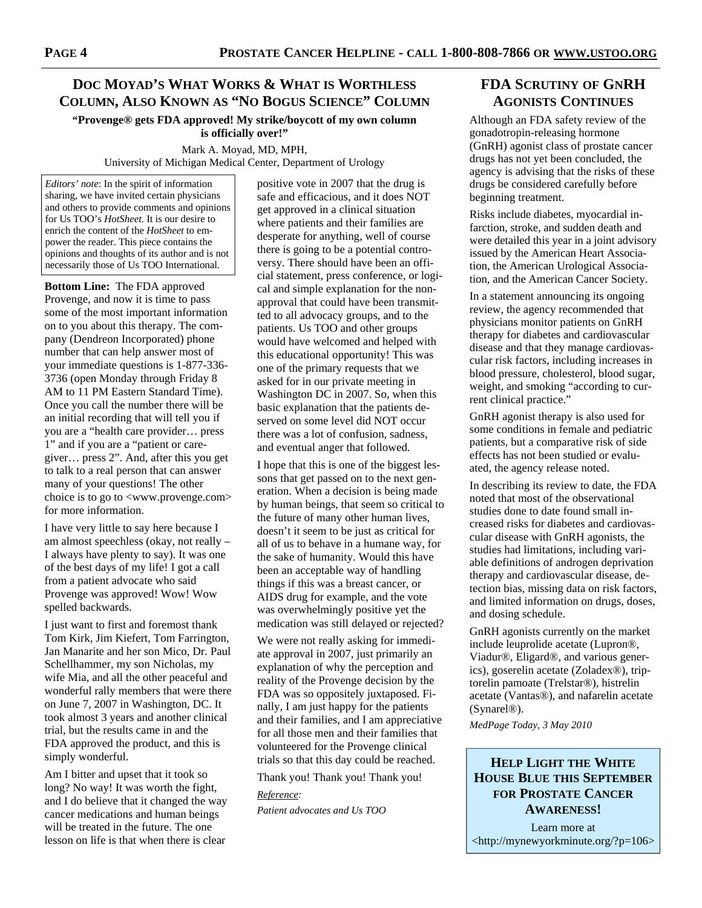# **DOC MOYAD'S WHAT WORKS & WHAT IS WORTHLESS COLUMN, ALSO KNOWN AS "NO BOGUS SCIENCE" COLUMN**

**"Provenge® gets FDA approved! My strike/boycott of my own column is officially over!"**

Mark A. Moyad, MD, MPH, University of Michigan Medical Center, Department of Urology

*Editors' note*: In the spirit of information sharing, we have invited certain physicians and others to provide comments and opinions for Us TOO's *HotSheet.* It is our desire to enrich the content of the *HotSheet* to empower the reader. This piece contains the opinions and thoughts of its author and is not necessarily those of Us TOO International.

**Bottom Line:** The FDA approved Provenge, and now it is time to pass some of the most important information on to you about this therapy. The company (Dendreon Incorporated) phone number that can help answer most of your immediate questions is 1-877-336- 3736 (open Monday through Friday 8 AM to 11 PM Eastern Standard Time). Once you call the number there will be an initial recording that will tell you if you are a "health care provider… press 1" and if you are a "patient or caregiver… press 2". And, after this you get to talk to a real person that can answer many of your questions! The other choice is to go to <www.provenge.com> for more information.

I have very little to say here because I am almost speechless (okay, not really – I always have plenty to say). It was one of the best days of my life! I got a call from a patient advocate who said Provenge was approved! Wow! Wow spelled backwards.

I just want to first and foremost thank Tom Kirk, Jim Kiefert, Tom Farrington, Jan Manarite and her son Mico, Dr. Paul Schellhammer, my son Nicholas, my wife Mia, and all the other peaceful and wonderful rally members that were there on June 7, 2007 in Washington, DC. It took almost 3 years and another clinical trial, but the results came in and the FDA approved the product, and this is simply wonderful.

Am I bitter and upset that it took so long? No way! It was worth the fight, and I do believe that it changed the way cancer medications and human beings will be treated in the future. The one lesson on life is that when there is clear

positive vote in 2007 that the drug is safe and efficacious, and it does NOT get approved in a clinical situation where patients and their families are desperate for anything, well of course there is going to be a potential controversy. There should have been an official statement, press conference, or logical and simple explanation for the nonapproval that could have been transmitted to all advocacy groups, and to the patients. Us TOO and other groups would have welcomed and helped with this educational opportunity! This was one of the primary requests that we asked for in our private meeting in Washington DC in 2007. So, when this basic explanation that the patients deserved on some level did NOT occur there was a lot of confusion, sadness, and eventual anger that followed.

I hope that this is one of the biggest lessons that get passed on to the next generation. When a decision is being made by human beings, that seem so critical to the future of many other human lives, doesn't it seem to be just as critical for all of us to behave in a humane way, for the sake of humanity. Would this have been an acceptable way of handling things if this was a breast cancer, or AIDS drug for example, and the vote was overwhelmingly positive yet the medication was still delayed or rejected?

We were not really asking for immediate approval in 2007, just primarily an explanation of why the perception and reality of the Provenge decision by the FDA was so oppositely juxtaposed. Finally, I am just happy for the patients and their families, and I am appreciative for all those men and their families that volunteered for the Provenge clinical trials so that this day could be reached.

Thank you! Thank you! Thank you!

*Reference: Patient advocates and Us TOO* 

# **FDA SCRUTINY OF GNRH AGONISTS CONTINUES**

Although an FDA safety review of the gonadotropin-releasing hormone (GnRH) agonist class of prostate cancer drugs has not yet been concluded, the agency is advising that the risks of these drugs be considered carefully before beginning treatment.

Risks include diabetes, myocardial infarction, stroke, and sudden death and were detailed this year in a joint advisory issued by the American Heart Association, the American Urological Association, and the American Cancer Society.

In a statement announcing its ongoing review, the agency recommended that physicians monitor patients on GnRH therapy for diabetes and cardiovascular disease and that they manage cardiovascular risk factors, including increases in blood pressure, cholesterol, blood sugar, weight, and smoking "according to current clinical practice."

GnRH agonist therapy is also used for some conditions in female and pediatric patients, but a comparative risk of side effects has not been studied or evaluated, the agency release noted.

In describing its review to date, the FDA noted that most of the observational studies done to date found small increased risks for diabetes and cardiovascular disease with GnRH agonists, the studies had limitations, including variable definitions of androgen deprivation therapy and cardiovascular disease, detection bias, missing data on risk factors, and limited information on drugs, doses, and dosing schedule.

GnRH agonists currently on the market include leuprolide acetate (Lupron®, Viadur®, Eligard®, and various generics), goserelin acetate (Zoladex®), triptorelin pamoate (Trelstar®), histrelin acetate (Vantas®), and nafarelin acetate (Synarel®).

*MedPage Today, 3 May 2010* 

## **HELP LIGHT THE WHITE HOUSE BLUE THIS SEPTEMBER FOR PROSTATE CANCER AWARENESS!**

Learn more at <http://mynewyorkminute.org/?p=106>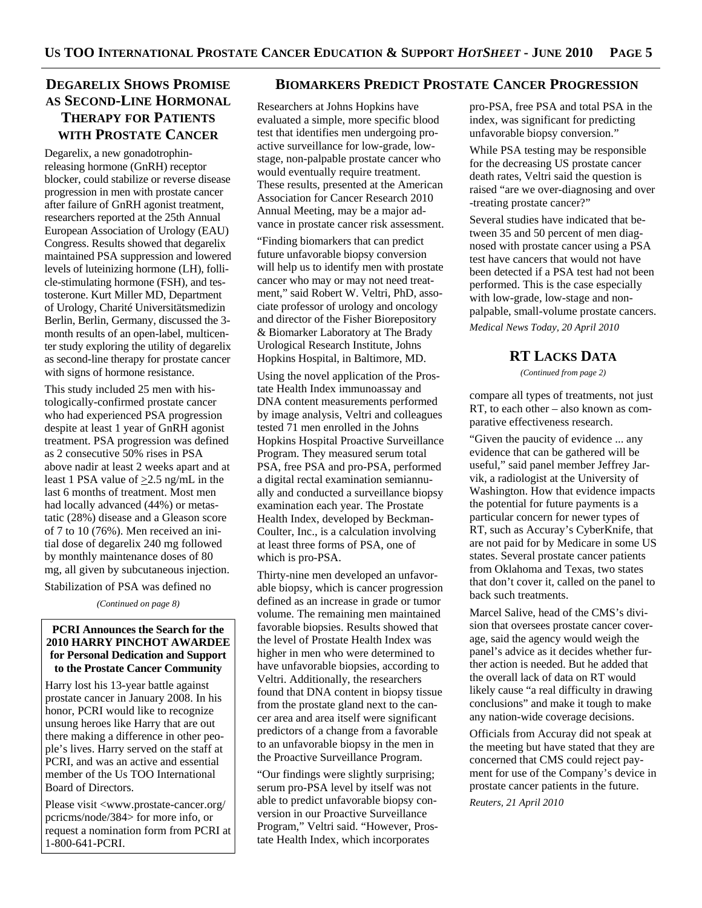# **DEGARELIX SHOWS PROMISE AS SECOND-LINE HORMONAL THERAPY FOR PATIENTS WITH PROSTATE CANCER**

Degarelix, a new gonadotrophinreleasing hormone (GnRH) receptor blocker, could stabilize or reverse disease progression in men with prostate cancer after failure of GnRH agonist treatment, researchers reported at the 25th Annual European Association of Urology (EAU) Congress. Results showed that degarelix maintained PSA suppression and lowered levels of luteinizing hormone (LH), follicle-stimulating hormone (FSH), and testosterone. Kurt Miller MD, Department of Urology, Charité Universitätsmedizin Berlin, Berlin, Germany, discussed the 3 month results of an open-label, multicenter study exploring the utility of degarelix as second-line therapy for prostate cancer with signs of hormone resistance.

This study included 25 men with histologically-confirmed prostate cancer who had experienced PSA progression despite at least 1 year of GnRH agonist treatment. PSA progression was defined as 2 consecutive 50% rises in PSA above nadir at least 2 weeks apart and at least 1 PSA value of  $\geq$ 2.5 ng/mL in the last 6 months of treatment. Most men had locally advanced (44%) or metastatic (28%) disease and a Gleason score of 7 to 10 (76%). Men received an initial dose of degarelix 240 mg followed by monthly maintenance doses of 80 mg, all given by subcutaneous injection.

Stabilization of PSA was defined no

*(Continued on page 8)* 

#### **PCRI Announces the Search for the 2010 HARRY PINCHOT AWARDEE for Personal Dedication and Support to the Prostate Cancer Community**

Harry lost his 13-year battle against prostate cancer in January 2008. In his honor, PCRI would like to recognize unsung heroes like Harry that are out there making a difference in other people's lives. Harry served on the staff at PCRI, and was an active and essential member of the Us TOO International Board of Directors.

Please visit <www.prostate-cancer.org/ pcricms/node/384> for more info, or request a nomination form from PCRI at 1-800-641-PCRI.

### **BIOMARKERS PREDICT PROSTATE CANCER PROGRESSION**

Researchers at Johns Hopkins have evaluated a simple, more specific blood test that identifies men undergoing proactive surveillance for low-grade, lowstage, non-palpable prostate cancer who would eventually require treatment. These results, presented at the American Association for Cancer Research 2010 Annual Meeting, may be a major advance in prostate cancer risk assessment.

"Finding biomarkers that can predict future unfavorable biopsy conversion will help us to identify men with prostate cancer who may or may not need treatment," said Robert W. Veltri, PhD, associate professor of urology and oncology and director of the Fisher Biorepository & Biomarker Laboratory at The Brady Urological Research Institute, Johns Hopkins Hospital, in Baltimore, MD.

Using the novel application of the Prostate Health Index immunoassay and DNA content measurements performed by image analysis, Veltri and colleagues tested 71 men enrolled in the Johns Hopkins Hospital Proactive Surveillance Program. They measured serum total PSA, free PSA and pro-PSA, performed a digital rectal examination semiannually and conducted a surveillance biopsy examination each year. The Prostate Health Index, developed by Beckman-Coulter, Inc., is a calculation involving at least three forms of PSA, one of which is pro-PSA.

Thirty-nine men developed an unfavorable biopsy, which is cancer progression defined as an increase in grade or tumor volume. The remaining men maintained favorable biopsies. Results showed that the level of Prostate Health Index was higher in men who were determined to have unfavorable biopsies, according to Veltri. Additionally, the researchers found that DNA content in biopsy tissue from the prostate gland next to the cancer area and area itself were significant predictors of a change from a favorable to an unfavorable biopsy in the men in the Proactive Surveillance Program.

"Our findings were slightly surprising; serum pro-PSA level by itself was not able to predict unfavorable biopsy conversion in our Proactive Surveillance Program," Veltri said. "However, Prostate Health Index, which incorporates

pro-PSA, free PSA and total PSA in the index, was significant for predicting unfavorable biopsy conversion."

While PSA testing may be responsible for the decreasing US prostate cancer death rates, Veltri said the question is raised "are we over-diagnosing and over -treating prostate cancer?"

Several studies have indicated that between 35 and 50 percent of men diagnosed with prostate cancer using a PSA test have cancers that would not have been detected if a PSA test had not been performed. This is the case especially with low-grade, low-stage and nonpalpable, small-volume prostate cancers. *Medical News Today, 20 April 2010* 

**RT LACKS DATA**

*(Continued from page 2)* 

compare all types of treatments, not just RT, to each other – also known as comparative effectiveness research.

"Given the paucity of evidence ... any evidence that can be gathered will be useful," said panel member Jeffrey Jarvik, a radiologist at the University of Washington. How that evidence impacts the potential for future payments is a particular concern for newer types of RT, such as Accuray's CyberKnife, that are not paid for by Medicare in some US states. Several prostate cancer patients from Oklahoma and Texas, two states that don't cover it, called on the panel to back such treatments.

Marcel Salive, head of the CMS's division that oversees prostate cancer coverage, said the agency would weigh the panel's advice as it decides whether further action is needed. But he added that the overall lack of data on RT would likely cause "a real difficulty in drawing conclusions" and make it tough to make any nation-wide coverage decisions.

Officials from Accuray did not speak at the meeting but have stated that they are concerned that CMS could reject payment for use of the Company's device in prostate cancer patients in the future.

*Reuters, 21 April 2010*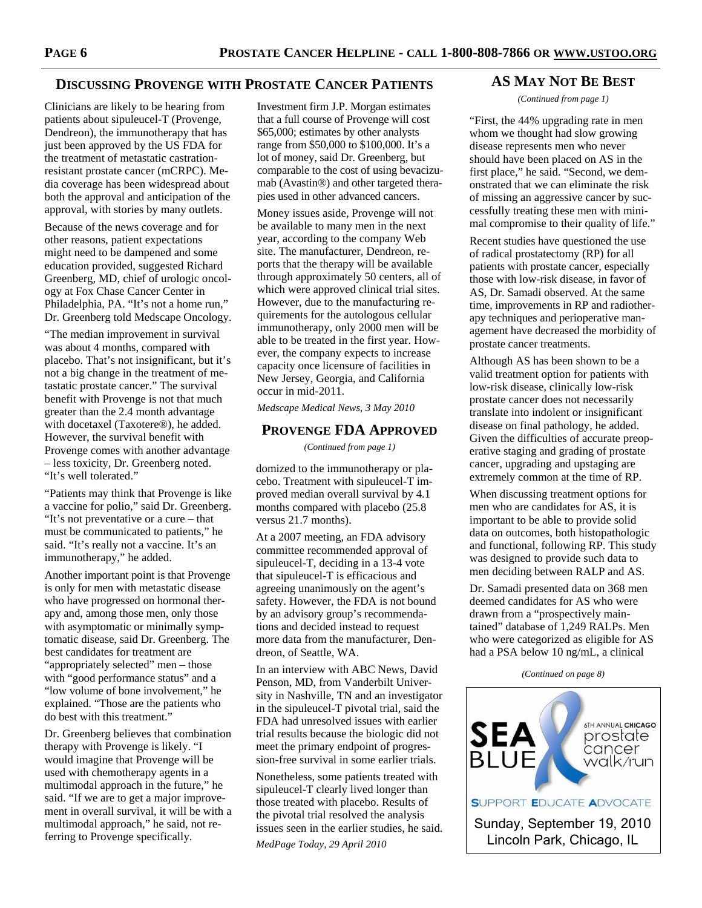#### **DISCUSSING PROVENGE WITH PROSTATE CANCER PATIENTS**

Clinicians are likely to be hearing from patients about sipuleucel-T (Provenge, Dendreon), the immunotherapy that has just been approved by the US FDA for the treatment of metastatic castrationresistant prostate cancer (mCRPC). Media coverage has been widespread about both the approval and anticipation of the approval, with stories by many outlets.

Because of the news coverage and for other reasons, patient expectations might need to be dampened and some education provided, suggested Richard Greenberg, MD, chief of urologic oncology at Fox Chase Cancer Center in Philadelphia, PA. "It's not a home run," Dr. Greenberg told Medscape Oncology.

"The median improvement in survival was about 4 months, compared with placebo. That's not insignificant, but it's not a big change in the treatment of metastatic prostate cancer." The survival benefit with Provenge is not that much greater than the 2.4 month advantage with docetaxel (Taxotere®), he added. However, the survival benefit with Provenge comes with another advantage – less toxicity, Dr. Greenberg noted. "It's well tolerated."

"Patients may think that Provenge is like a vaccine for polio," said Dr. Greenberg. "It's not preventative or a cure – that must be communicated to patients," he said. "It's really not a vaccine. It's an immunotherapy," he added.

Another important point is that Provenge is only for men with metastatic disease who have progressed on hormonal therapy and, among those men, only those with asymptomatic or minimally symptomatic disease, said Dr. Greenberg. The best candidates for treatment are "appropriately selected" men – those with "good performance status" and a "low volume of bone involvement," he explained. "Those are the patients who do best with this treatment."

Dr. Greenberg believes that combination therapy with Provenge is likely. "I would imagine that Provenge will be used with chemotherapy agents in a multimodal approach in the future," he said. "If we are to get a major improvement in overall survival, it will be with a multimodal approach," he said, not referring to Provenge specifically.

Investment firm J.P. Morgan estimates that a full course of Provenge will cost \$65,000; estimates by other analysts range from \$50,000 to \$100,000. It's a lot of money, said Dr. Greenberg, but comparable to the cost of using bevacizumab (Avastin®) and other targeted therapies used in other advanced cancers.

Money issues aside, Provenge will not be available to many men in the next year, according to the company Web site. The manufacturer, Dendreon, reports that the therapy will be available through approximately 50 centers, all of which were approved clinical trial sites. However, due to the manufacturing requirements for the autologous cellular immunotherapy, only 2000 men will be able to be treated in the first year. However, the company expects to increase capacity once licensure of facilities in New Jersey, Georgia, and California occur in mid-2011.

*Medscape Medical News, 3 May 2010* 

#### **PROVENGE FDA APPROVED**

*(Continued from page 1)* 

domized to the immunotherapy or placebo. Treatment with sipuleucel-T improved median overall survival by 4.1 months compared with placebo (25.8 versus 21.7 months).

At a 2007 meeting, an FDA advisory committee recommended approval of sipuleucel-T, deciding in a 13-4 vote that sipuleucel-T is efficacious and agreeing unanimously on the agent's safety. However, the FDA is not bound by an advisory group's recommendations and decided instead to request more data from the manufacturer, Dendreon, of Seattle, WA.

In an interview with ABC News, David Penson, MD, from Vanderbilt University in Nashville, TN and an investigator in the sipuleucel-T pivotal trial, said the FDA had unresolved issues with earlier trial results because the biologic did not meet the primary endpoint of progression-free survival in some earlier trials.

Nonetheless, some patients treated with sipuleucel-T clearly lived longer than those treated with placebo. Results of the pivotal trial resolved the analysis issues seen in the earlier studies, he said.

*MedPage Today, 29 April 2010* 

#### **AS MAY NOT BE BEST**

*(Continued from page 1)* 

"First, the 44% upgrading rate in men whom we thought had slow growing disease represents men who never should have been placed on AS in the first place," he said. "Second, we demonstrated that we can eliminate the risk of missing an aggressive cancer by successfully treating these men with minimal compromise to their quality of life."

Recent studies have questioned the use of radical prostatectomy (RP) for all patients with prostate cancer, especially those with low-risk disease, in favor of AS, Dr. Samadi observed. At the same time, improvements in RP and radiotherapy techniques and perioperative management have decreased the morbidity of prostate cancer treatments.

Although AS has been shown to be a valid treatment option for patients with low-risk disease, clinically low-risk prostate cancer does not necessarily translate into indolent or insignificant disease on final pathology, he added. Given the difficulties of accurate preoperative staging and grading of prostate cancer, upgrading and upstaging are extremely common at the time of RP.

When discussing treatment options for men who are candidates for AS, it is important to be able to provide solid data on outcomes, both histopathologic and functional, following RP. This study was designed to provide such data to men deciding between RALP and AS.

Dr. Samadi presented data on 368 men deemed candidates for AS who were drawn from a "prospectively maintained" database of 1,249 RALPs. Men who were categorized as eligible for AS had a PSA below 10 ng/mL, a clinical

*(Continued on page 8)* 

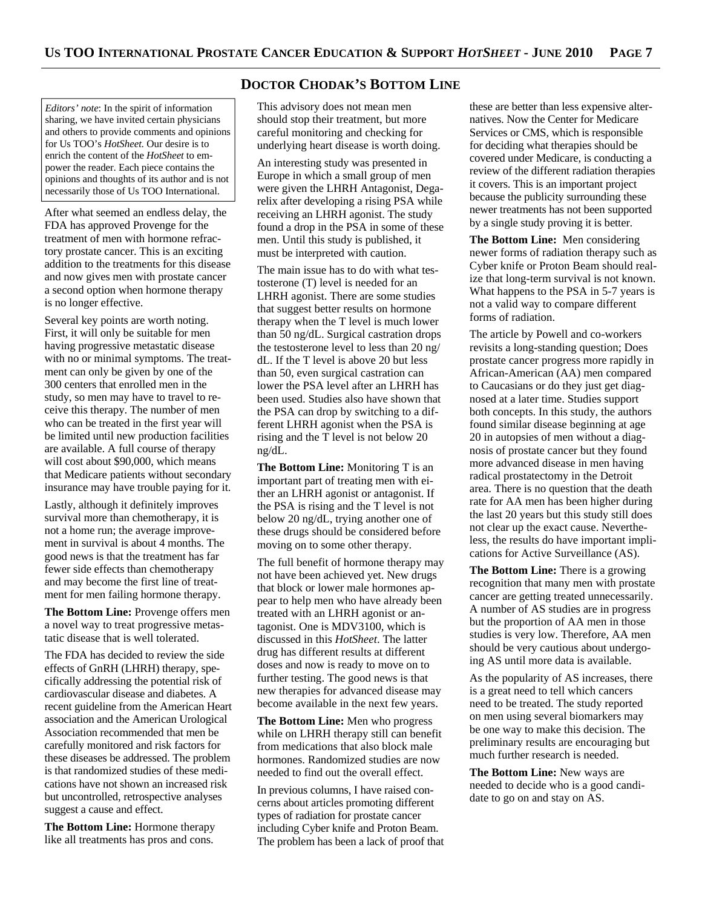*Editors' note*: In the spirit of information sharing, we have invited certain physicians and others to provide comments and opinions for Us TOO's *HotSheet.* Our desire is to enrich the content of the *HotSheet* to empower the reader. Each piece contains the opinions and thoughts of its author and is not necessarily those of Us TOO International.

After what seemed an endless delay, the FDA has approved Provenge for the treatment of men with hormone refractory prostate cancer. This is an exciting addition to the treatments for this disease and now gives men with prostate cancer a second option when hormone therapy is no longer effective.

Several key points are worth noting. First, it will only be suitable for men having progressive metastatic disease with no or minimal symptoms. The treatment can only be given by one of the 300 centers that enrolled men in the study, so men may have to travel to receive this therapy. The number of men who can be treated in the first year will be limited until new production facilities are available. A full course of therapy will cost about \$90,000, which means that Medicare patients without secondary insurance may have trouble paying for it.

Lastly, although it definitely improves survival more than chemotherapy, it is not a home run; the average improvement in survival is about 4 months. The good news is that the treatment has far fewer side effects than chemotherapy and may become the first line of treatment for men failing hormone therapy.

**The Bottom Line:** Provenge offers men a novel way to treat progressive metastatic disease that is well tolerated.

The FDA has decided to review the side effects of GnRH (LHRH) therapy, specifically addressing the potential risk of cardiovascular disease and diabetes. A recent guideline from the American Heart association and the American Urological Association recommended that men be carefully monitored and risk factors for these diseases be addressed. The problem is that randomized studies of these medications have not shown an increased risk but uncontrolled, retrospective analyses suggest a cause and effect.

**The Bottom Line:** Hormone therapy like all treatments has pros and cons.

#### **DOCTOR CHODAK'S BOTTOM LINE**

This advisory does not mean men should stop their treatment, but more careful monitoring and checking for underlying heart disease is worth doing.

An interesting study was presented in Europe in which a small group of men were given the LHRH Antagonist, Degarelix after developing a rising PSA while receiving an LHRH agonist. The study found a drop in the PSA in some of these men. Until this study is published, it must be interpreted with caution.

The main issue has to do with what testosterone (T) level is needed for an LHRH agonist. There are some studies that suggest better results on hormone therapy when the T level is much lower than 50 ng/dL. Surgical castration drops the testosterone level to less than 20 ng/ dL. If the T level is above 20 but less than 50, even surgical castration can lower the PSA level after an LHRH has been used. Studies also have shown that the PSA can drop by switching to a different LHRH agonist when the PSA is rising and the T level is not below 20 ng/dL.

**The Bottom Line:** Monitoring T is an important part of treating men with either an LHRH agonist or antagonist. If the PSA is rising and the T level is not below 20 ng/dL, trying another one of these drugs should be considered before moving on to some other therapy.

The full benefit of hormone therapy may not have been achieved yet. New drugs that block or lower male hormones appear to help men who have already been treated with an LHRH agonist or antagonist. One is MDV3100, which is discussed in this *HotSheet*. The latter drug has different results at different doses and now is ready to move on to further testing. The good news is that new therapies for advanced disease may become available in the next few years.

**The Bottom Line:** Men who progress while on LHRH therapy still can benefit from medications that also block male hormones. Randomized studies are now needed to find out the overall effect.

In previous columns, I have raised concerns about articles promoting different types of radiation for prostate cancer including Cyber knife and Proton Beam. The problem has been a lack of proof that

these are better than less expensive alternatives. Now the Center for Medicare Services or CMS, which is responsible for deciding what therapies should be covered under Medicare, is conducting a review of the different radiation therapies it covers. This is an important project because the publicity surrounding these newer treatments has not been supported by a single study proving it is better.

**The Bottom Line:** Men considering newer forms of radiation therapy such as Cyber knife or Proton Beam should realize that long-term survival is not known. What happens to the PSA in 5-7 years is not a valid way to compare different forms of radiation.

The article by Powell and co-workers revisits a long-standing question; Does prostate cancer progress more rapidly in African-American (AA) men compared to Caucasians or do they just get diagnosed at a later time. Studies support both concepts. In this study, the authors found similar disease beginning at age 20 in autopsies of men without a diagnosis of prostate cancer but they found more advanced disease in men having radical prostatectomy in the Detroit area. There is no question that the death rate for AA men has been higher during the last 20 years but this study still does not clear up the exact cause. Nevertheless, the results do have important implications for Active Surveillance (AS).

**The Bottom Line:** There is a growing recognition that many men with prostate cancer are getting treated unnecessarily. A number of AS studies are in progress but the proportion of AA men in those studies is very low. Therefore, AA men should be very cautious about undergoing AS until more data is available.

As the popularity of AS increases, there is a great need to tell which cancers need to be treated. The study reported on men using several biomarkers may be one way to make this decision. The preliminary results are encouraging but much further research is needed.

**The Bottom Line:** New ways are needed to decide who is a good candidate to go on and stay on AS.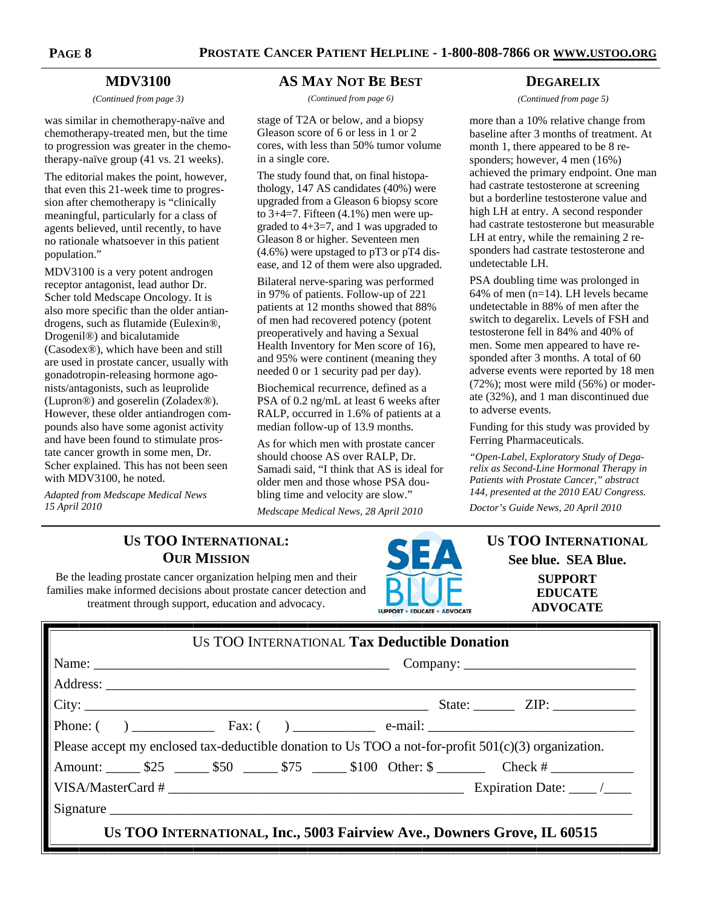#### **MDV3100**

*(Continued from page 3)* 

was similar in chemotherapy-naïve and chemotherapy-treated men, but the time to progression was greater in the chemotherapy-naïve group (41 vs. 21 weeks).

The editorial makes the point, however, that even this 21-week time to progression after chemotherapy is "clinically meaningful, particularly for a class of agents believed, until recently, to have no rationale whatsoever in this patient population."

MDV3100 is a very potent androgen receptor antagonist, lead author Dr. Scher told Medscape Oncology. It is also more specific than the older antiandrogens, such as flutamide (Eulexin®, Drogenil®) and bicalutamide (Casodex®), which have been and still are used in prostate cancer, usually with gonadotropin-releasing hormone agonists/antagonists, such as leuprolide (Lupron®) and goserelin (Zoladex®). However, these older antiandrogen compounds also have some agonist activity and have been found to stimulate prostate cancer growth in some men, Dr. Scher explained. This has not been seen with MDV3100, he noted.

*Adapted from Medscape Medical News 15 April 2010* 

#### **AS MAY NOT BE BEST**

*(Continued from page 6)* 

stage of T2A or below, and a biopsy Gleason score of 6 or less in 1 or 2 cores, with less than 50% tumor volume in a single core.

The study found that, on final histopathology, 147 AS candidates (40%) were upgraded from a Gleason 6 biopsy score to  $3+4=7$ . Fifteen  $(4.1\%)$  men were upgraded to 4+3=7, and 1 was upgraded to Gleason 8 or higher. Seventeen men (4.6%) were upstaged to pT3 or pT4 disease, and 12 of them were also upgraded.

Bilateral nerve-sparing was performed in 97% of patients. Follow-up of 221 patients at 12 months showed that 88% of men had recovered potency (potent preoperatively and having a Sexual Health Inventory for Men score of 16), and 95% were continent (meaning they needed 0 or 1 security pad per day).

Biochemical recurrence, defined as a PSA of 0.2 ng/mL at least 6 weeks after RALP, occurred in 1.6% of patients at a median follow-up of 13.9 months.

As for which men with prostate cancer should choose AS over RALP, Dr. Samadi said, "I think that AS is ideal for older men and those whose PSA doubling time and velocity are slow."

*Medscape Medical News, 28 April 2010* 

#### **DEGARELIX**

*(Continued from page 5)* 

more than a 10% relative change from baseline after 3 months of treatment. At month 1, there appeared to be 8 responders; however, 4 men (16%) achieved the primary endpoint. One man had castrate testosterone at screening but a borderline testosterone value and high LH at entry. A second responder had castrate testosterone but measurable LH at entry, while the remaining 2 responders had castrate testosterone and undetectable LH.

PSA doubling time was prolonged in 64% of men (n=14). LH levels became undetectable in 88% of men after the switch to degarelix. Levels of FSH and testosterone fell in 84% and 40% of men. Some men appeared to have responded after 3 months. A total of 60 adverse events were reported by 18 men  $(72\%)$ ; most were mild  $(56\%)$  or moderate (32%), and 1 man discontinued due to adverse events.

Funding for this study was provided by Ferring Pharmaceuticals.

*"Open-Label, Exploratory Study of Degarelix as Second-Line Hormonal Therapy in Patients with Prostate Cancer," abstract 144, presented at the 2010 EAU Congress.* 

*Doctor's Guide News, 20 April 2010* 

# **US TOO INTERNATIONAL: OUR MISSION**

Be the leading prostate cancer organization helping men and their families make informed decisions about prostate cancer detection and treatment through support, education and advocacy.



**US TOO INTERNATIONAL See blue. SEA Blue. SUPPORT EDUCATE ADVOCATE** 

|  | US TOO INTERNATIONAL Tax Deductible Donation |  |  |  |  |                                                                                                        |  |  |
|--|----------------------------------------------|--|--|--|--|--------------------------------------------------------------------------------------------------------|--|--|
|  |                                              |  |  |  |  |                                                                                                        |  |  |
|  |                                              |  |  |  |  |                                                                                                        |  |  |
|  |                                              |  |  |  |  |                                                                                                        |  |  |
|  |                                              |  |  |  |  |                                                                                                        |  |  |
|  |                                              |  |  |  |  | Please accept my enclosed tax-deductible donation to Us TOO a not-for-profit $501(c)(3)$ organization. |  |  |
|  |                                              |  |  |  |  |                                                                                                        |  |  |
|  |                                              |  |  |  |  |                                                                                                        |  |  |
|  |                                              |  |  |  |  |                                                                                                        |  |  |
|  |                                              |  |  |  |  | US TOO INTERNATIONAL, Inc., 5003 Fairview Ave., Downers Grove, IL 60515                                |  |  |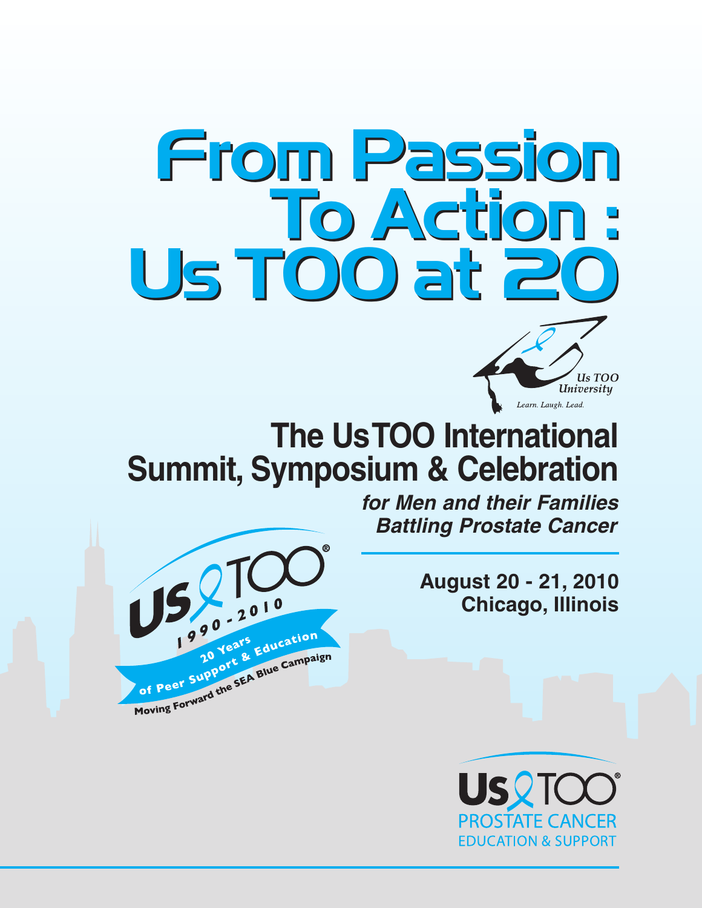



# **Summit, Symposium & Celebration**



**for Men and their Families Battling Prostate Cancer**

> **August 20 - 21, 2010 Chicago, Illinois**

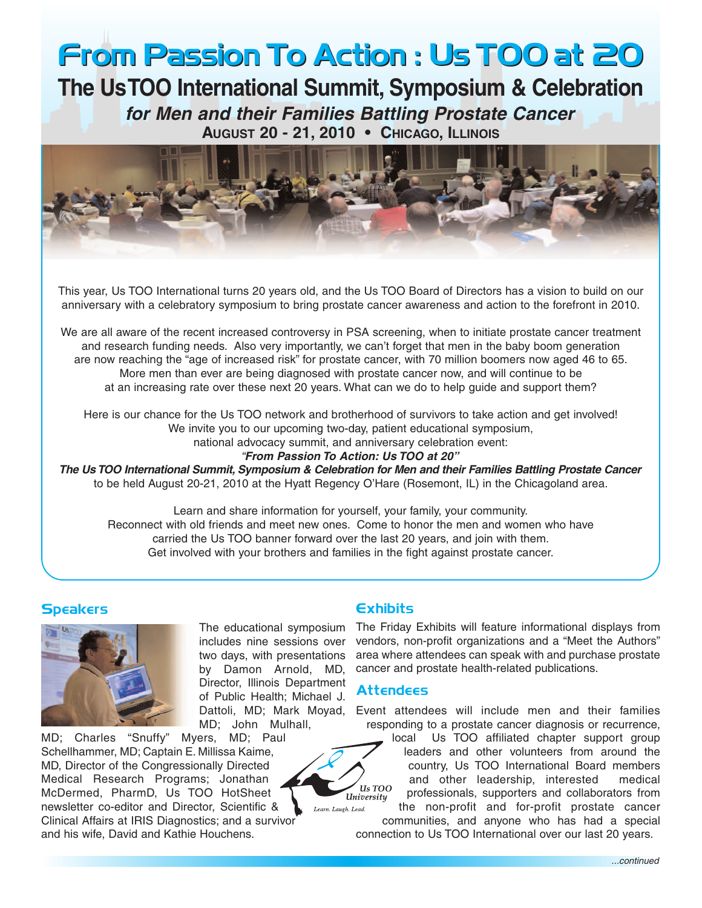# **From Passion To Action : Us TOO at 20 From Passion To Action : Us TOO at 20**

**The UsTOO International Summit, Symposium & Celebration for Men and their Families Battling Prostate Cancer AUGUST 20 - 21, 2010 • CHICAGO, ILLINOIS**



This year, Us TOO International turns 20 years old, and the Us TOO Board of Directors has a vision to build on our anniversary with a celebratory symposium to bring prostate cancer awareness and action to the forefront in 2010.

We are all aware of the recent increased controversy in PSA screening, when to initiate prostate cancer treatment and research funding needs. Also very importantly, we can't forget that men in the baby boom generation are now reaching the "age of increased risk" for prostate cancer, with 70 million boomers now aged 46 to 65. More men than ever are being diagnosed with prostate cancer now, and will continue to be at an increasing rate over these next 20 years. What can we do to help guide and support them?

Here is our chance for the Us TOO network and brotherhood of survivors to take action and get involved! We invite you to our upcoming two-day, patient educational symposium, national advocacy summit, and anniversary celebration event:

"**From Passion To Action: Us TOO at 20"**

**The Us TOO International Summit, Symposium & Celebration for Men and their Families Battling Prostate Cancer** to be held August 20-21, 2010 at the Hyatt Regency O'Hare (Rosemont, IL) in the Chicagoland area.

Learn and share information for yourself, your family, your community. Reconnect with old friends and meet new ones. Come to honor the men and women who have carried the Us TOO banner forward over the last 20 years, and join with them. Get involved with your brothers and families in the fight against prostate cancer.

#### **Speakers Exhibits**



The educational symposium includes nine sessions over two days, with presentations by Damon Arnold, MD, Director, Illinois Department of Public Health; Michael J. MD; John Mulhall,

MD; Charles "Snuffy" Myers, MD; Paul Schellhammer, MD; Captain E. Millissa Kaime, MD, Director of the Congressionally Directed Medical Research Programs; Jonathan McDermed, PharmD, Us TOO HotSheet newsletter co-editor and Director, Scientific & Clinical Affairs at IRIS Diagnostics; and a survivor and his wife, David and Kathie Houchens.

The Friday Exhibits will feature informational displays from vendors, non-profit organizations and a "Meet the Authors" area where attendees can speak with and purchase prostate cancer and prostate health-related publications.

#### **Attendees**

Us TOO University

Learn, Laugh, Lead.

Dattoli, MD; Mark Moyad, Event attendees will include men and their families responding to a prostate cancer diagnosis or recurrence,

local Us TOO affiliated chapter support group leaders and other volunteers from around the country, Us TOO International Board members and other leadership, interested medical professionals, supporters and collaborators from the non-profit and for-profit prostate cancer

communities, and anyone who has had a special connection to Us TOO International over our last 20 years.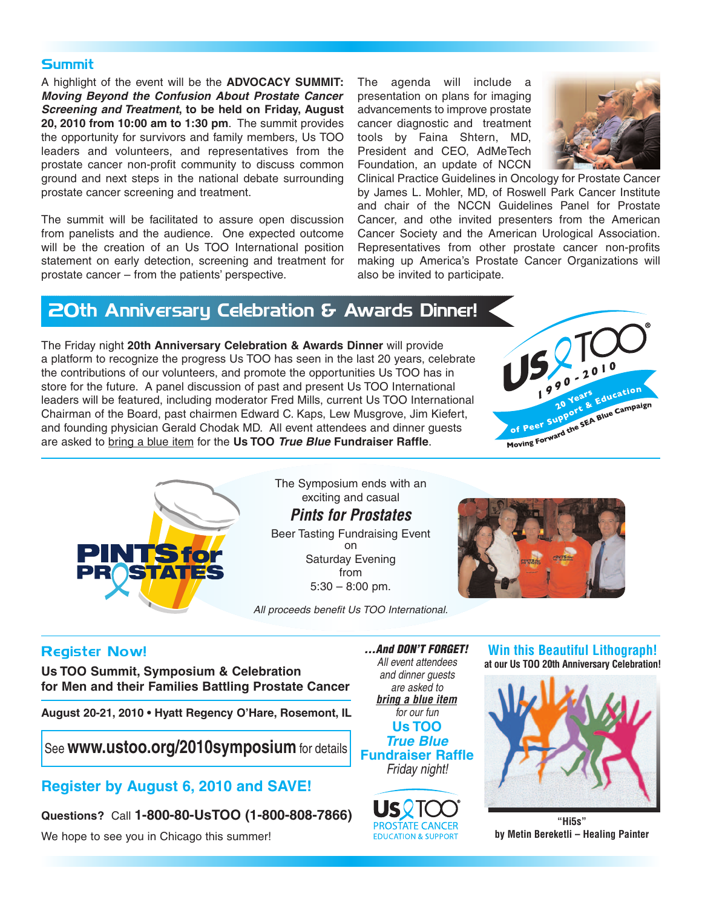#### **Summit**

A highlight of the event will be the **ADVOCACY SUMMIT: Moving Beyond the Confusion About Prostate Cancer Screening and Treatment, to be held on Friday, August 20, 2010 from 10:00 am to 1:30 pm**. The summit provides the opportunity for survivors and family members, Us TOO leaders and volunteers, and representatives from the prostate cancer non-profit community to discuss common ground and next steps in the national debate surrounding prostate cancer screening and treatment.

The summit will be facilitated to assure open discussion from panelists and the audience. One expected outcome will be the creation of an Us TOO International position statement on early detection, screening and treatment for prostate cancer – from the patients' perspective.

The agenda will include a presentation on plans for imaging advancements to improve prostate cancer diagnostic and treatment tools by Faina Shtern, MD, President and CEO, AdMeTech Foundation, an update of NCCN



Clinical Practice Guidelines in Oncology for Prostate Cancer by James L. Mohler, MD, of Roswell Park Cancer Institute and chair of the NCCN Guidelines Panel for Prostate Cancer, and othe invited presenters from the American Cancer Society and the American Urological Association. Representatives from other prostate cancer non-profits making up America's Prostate Cancer Organizations will also be invited to participate.

# **20th Anniversary Celebration & Awards Dinner!**

The Friday night **20th Anniversary Celebration & Awards Dinner** will provide a platform to recognize the progress Us TOO has seen in the last 20 years, celebrate the contributions of our volunteers, and promote the opportunities Us TOO has in store for the future. A panel discussion of past and present Us TOO International leaders will be featured, including moderator Fred Mills, current Us TOO International Chairman of the Board, past chairmen Edward C. Kaps, Lew Musgrove, Jim Kiefert, and founding physician Gerald Chodak MD. All event attendees and dinner guests are asked to bring a blue item for the **Us TOO True Blue Fundraiser Raffle**.





The Symposium ends with an exciting and casual **Pints for Prostates**  Beer Tasting Fundraising Event on Saturday Evening from

 $5:30 - 8:00$  pm.

All proceeds benefit Us TOO International.



## **Register Now!**

**at our Us TOO 20th Anniversary Celebration! Us TOO Summit, Symposium & Celebration for Men and their Families Battling Prostate Cancer**

**August 20-21, 2010 • Hyatt Regency O'Hare, Rosemont, IL**

See**www.ustoo.org/2010symposium** for details

# **Register by August 6, 2010 and SAVE!**

**Questions?** Call **1-800-80-UsTOO (1-800-808-7866)**

We hope to see you in Chicago this summer!

**...And DON'T FORGET!** All event attendees and dinner guests are asked to **bring a blue item** for our fun **Us TOO True Blue Fundraiser Raffle** Friday night!



# **Win this Beautiful Lithograph!**



**"Hi5s" by Metin Bereketli – Healing Painter**